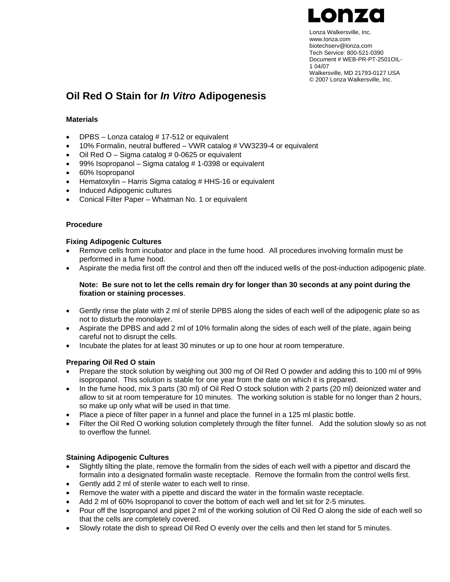

Lonza Walkersville, Inc. www.lonza.com biotechserv@lonza.com Tech Service: 800-521-0390 Document # WEB-PR-PT-2501OIL-1 04/07 Walkersville, MD 21793-0127 USA © 2007 Lonza Walkersville, Inc.

# **Oil Red O Stain for** *In Vitro* **Adipogenesis**

## **Materials**

- DPBS Lonza catalog #17-512 or equivalent
- 10% Formalin, neutral buffered VWR catalog # VW3239-4 or equivalent
- Oil Red  $O -$  Sigma catalog # 0-0625 or equivalent
- 99% Isopropanol Sigma catalog # 1-0398 or equivalent
- 60% Isopropanol
- Hematoxylin Harris Sigma catalog # HHS-16 or equivalent
- Induced Adipogenic cultures
- Conical Filter Paper Whatman No. 1 or equivalent

### **Procedure**

### **Fixing Adipogenic Cultures**

- Remove cells from incubator and place in the fume hood. All procedures involving formalin must be performed in a fume hood.
- Aspirate the media first off the control and then off the induced wells of the post-induction adipogenic plate.

#### **Note: Be sure not to let the cells remain dry for longer than 30 seconds at any point during the fixation or staining processes**.

- Gently rinse the plate with 2 ml of sterile DPBS along the sides of each well of the adipogenic plate so as not to disturb the monolayer.
- Aspirate the DPBS and add 2 ml of 10% formalin along the sides of each well of the plate, again being careful not to disrupt the cells.
- Incubate the plates for at least 30 minutes or up to one hour at room temperature.

## **Preparing Oil Red O stain**

- Prepare the stock solution by weighing out 300 mg of Oil Red O powder and adding this to 100 ml of 99% isopropanol. This solution is stable for one year from the date on which it is prepared.
- In the fume hood, mix 3 parts (30 ml) of Oil Red O stock solution with 2 parts (20 ml) deionized water and allow to sit at room temperature for 10 minutes. The working solution is stable for no longer than 2 hours, so make up only what will be used in that time.
- Place a piece of filter paper in a funnel and place the funnel in a 125 ml plastic bottle.
- Filter the Oil Red O working solution completely through the filter funnel. Add the solution slowly so as not to overflow the funnel.

#### **Staining Adipogenic Cultures**

- Slightly tilting the plate, remove the formalin from the sides of each well with a pipettor and discard the formalin into a designated formalin waste receptacle. Remove the formalin from the control wells first.
- Gently add 2 ml of sterile water to each well to rinse.
- Remove the water with a pipette and discard the water in the formalin waste receptacle.
- Add 2 ml of 60% Isopropanol to cover the bottom of each well and let sit for 2-5 minutes.
- Pour off the Isopropanol and pipet 2 ml of the working solution of Oil Red O along the side of each well so that the cells are completely covered.
- Slowly rotate the dish to spread Oil Red O evenly over the cells and then let stand for 5 minutes.